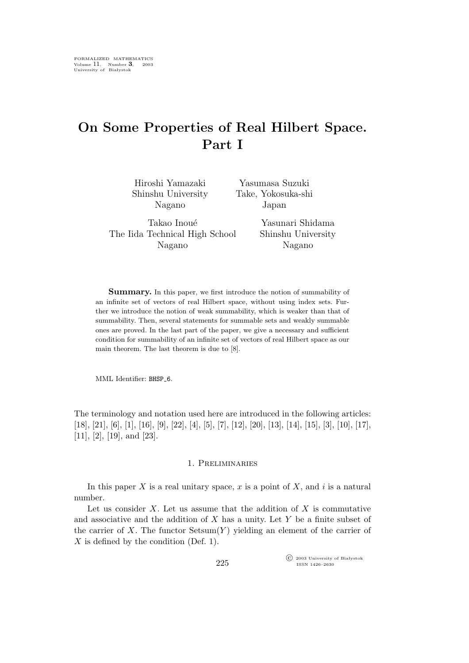# **On Some Properties of Real Hilbert Space. Part I**

| Hiroshi Yamazaki   | Yasumasa Suzuki    |
|--------------------|--------------------|
| Shinshu University | Take, Yokosuka-shi |
| Nagano             | Japan              |
|                    |                    |

Takao Inoué The Iida Technical High School Nagano

Yasunari Shidama Shinshu University Nagano

**Summary.** In this paper, we first introduce the notion of summability of an infinite set of vectors of real Hilbert space, without using index sets. Further we introduce the notion of weak summability, which is weaker than that of summability. Then, several statements for summable sets and weakly summable ones are proved. In the last part of the paper, we give a necessary and sufficient condition for summability of an infinite set of vectors of real Hilbert space as our main theorem. The last theorem is due to [8].

MML Identifier: BHSP<sub>-6</sub>.

The terminology and notation used here are introduced in the following articles: [18], [21], [6], [1], [16], [9], [22], [4], [5], [7], [12], [20], [13], [14], [15], [3], [10], [17], [11], [2], [19], and [23].

# 1. Preliminaries

In this paper  $X$  is a real unitary space,  $x$  is a point of  $X$ , and  $i$  is a natural number.

Let us consider  $X$ . Let us assume that the addition of  $X$  is commutative and associative and the addition of  $X$  has a unity. Let  $Y$  be a finite subset of the carrier of X. The functor  $Setsum(Y)$  yielding an element of the carrier of  $X$  is defined by the condition (Def. 1).

> °c 2003 University of Białystok ISSN 1426–2630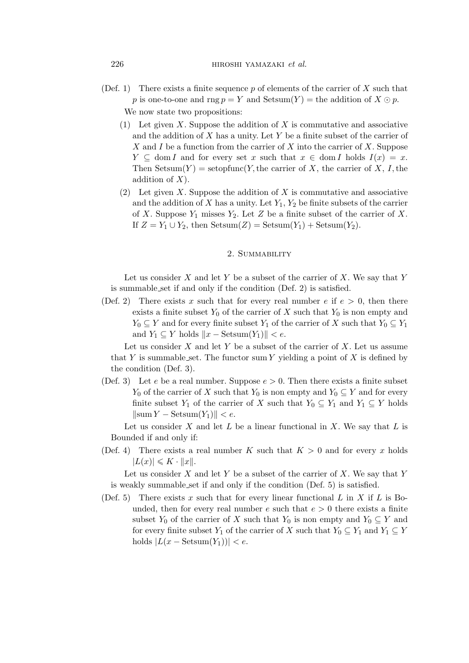(Def. 1) There exists a finite sequence  $p$  of elements of the carrier of X such that p is one-to-one and rng  $p = Y$  and  $Setsum(Y) =$  the addition of  $X \odot p$ .

We now state two propositions:

- (1) Let given  $X$ . Suppose the addition of  $X$  is commutative and associative and the addition of  $X$  has a unity. Let  $Y$  be a finite subset of the carrier of X and I be a function from the carrier of X into the carrier of X. Suppose  $Y \subseteq \text{dom } I$  and for every set x such that  $x \in \text{dom } I$  holds  $I(x) = x$ . Then Setsum $(Y)$  = setopfunc $(Y,$  the carrier of X, the carrier of X, I, the addition of  $X$ ).
- (2) Let given X. Suppose the addition of X is commutative and associative and the addition of X has a unity. Let  $Y_1, Y_2$  be finite subsets of the carrier of X. Suppose  $Y_1$  misses  $Y_2$ . Let Z be a finite subset of the carrier of X. If  $Z = Y_1 \cup Y_2$ , then Setsum(Z) = Setsum(Y<sub>1</sub>) + Setsum(Y<sub>2</sub>).

# 2. SUMMABILITY

Let us consider X and let Y be a subset of the carrier of X. We say that Y is summable set if and only if the condition (Def. 2) is satisfied.

(Def. 2) There exists x such that for every real number e if  $e > 0$ , then there exists a finite subset  $Y_0$  of the carrier of X such that  $Y_0$  is non empty and  $Y_0$   $\subseteq$  Y and for every finite subset  $Y_1$  of the carrier of X such that  $Y_0$   $\subseteq$   $Y_1$ and  $Y_1 ⊆ Y$  holds  $||x - \text{Setsum}(Y_1)|| < e$ .

Let us consider  $X$  and let  $Y$  be a subset of the carrier of  $X$ . Let us assume that Y is summable set. The functor sum Y yielding a point of X is defined by the condition (Def. 3).

(Def. 3) Let e be a real number. Suppose  $e > 0$ . Then there exists a finite subset  $Y_0$  of the carrier of X such that  $Y_0$  is non empty and  $Y_0 \subseteq Y$  and for every finite subset  $Y_1$  of the carrier of X such that  $Y_0 \subseteq Y_1$  and  $Y_1 \subseteq Y$  holds  $\|\operatorname{sum} Y - \operatorname{Setsum}(Y_1)\| < e.$ 

Let us consider  $X$  and let  $L$  be a linear functional in  $X$ . We say that  $L$  is Bounded if and only if:

(Def. 4) There exists a real number K such that  $K > 0$  and for every x holds  $|L(x)| \leqslant K \cdot ||x||.$ 

Let us consider  $X$  and let  $Y$  be a subset of the carrier of  $X$ . We say that  $Y$ is weakly summable set if and only if the condition (Def. 5) is satisfied.

(Def. 5) There exists x such that for every linear functional L in X if L is Bounded, then for every real number  $e$  such that  $e > 0$  there exists a finite subset  $Y_0$  of the carrier of X such that  $Y_0$  is non empty and  $Y_0 \subseteq Y$  and for every finite subset  $Y_1$  of the carrier of X such that  $Y_0 \subseteq Y_1$  and  $Y_1 \subseteq Y_1$ holds  $|L(x - \text{Setsum}(Y_1))| < e$ .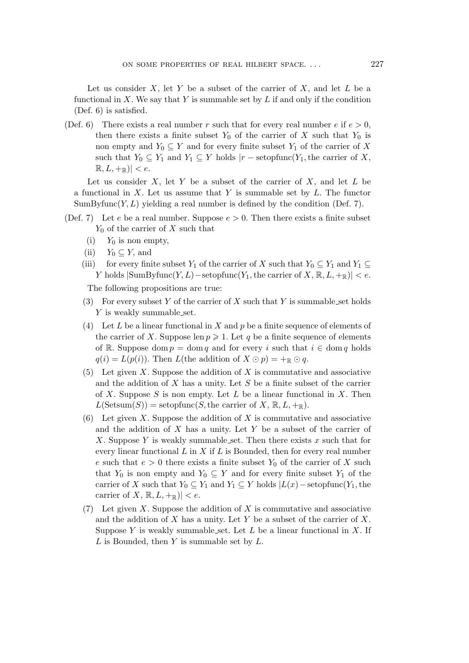Let us consider X, let Y be a subset of the carrier of X, and let  $L$  be a functional in X. We say that Y is summable set by L if and only if the condition (Def. 6) is satisfied.

(Def. 6) There exists a real number r such that for every real number e if  $e > 0$ , then there exists a finite subset  $Y_0$  of the carrier of X such that  $Y_0$  is non empty and  $Y_0 \subseteq Y$  and for every finite subset  $Y_1$  of the carrier of X such that  $Y_0 \subseteq Y_1$  and  $Y_1 \subseteq Y$  holds  $|r - \text{setopfunc}(Y_1, \text{the carrier of } X,$  $\mathbb{R}, L, +_{\mathbb{R}}$  $| < e$ .

Let us consider  $X$ , let Y be a subset of the carrier of  $X$ , and let  $L$  be a functional in  $X$ . Let us assume that Y is summable set by  $L$ . The functor  $SumByfunc(Y, L)$  yielding a real number is defined by the condition (Def. 7).

- (Def. 7) Let e be a real number. Suppose  $e > 0$ . Then there exists a finite subset  $Y_0$  of the carrier of X such that
	- (i)  $Y_0$  is non empty,
	- (ii)  $Y_0 \subseteq Y$ , and
	- (iii) for every finite subset Y<sub>1</sub> of the carrier of X such that  $Y_0 \subseteq Y_1$  and  $Y_1 \subseteq$ *Y* holds  $|\text{SumByfunc}(Y, L) - \text{setopfunc}(Y_1, \text{the carrier of } X, \mathbb{R}, L, +_{\mathbb{R}})| < e$ .

The following propositions are true:

- (3) For every subset Y of the carrier of X such that Y is summable set holds Y is weakly summable\_set.
- (4) Let L be a linear functional in X and p be a finite sequence of elements of the carrier of X. Suppose len  $p \geqslant 1$ . Let q be a finite sequence of elements of R. Suppose dom  $p = \text{dom } q$  and for every i such that  $i \in \text{dom } q$  holds  $q(i) = L(p(i))$ . Then L(the addition of  $X \odot p$ ) = +<sub>R</sub>  $\odot q$ .
- (5) Let given X. Suppose the addition of X is commutative and associative and the addition of  $X$  has a unity. Let  $S$  be a finite subset of the carrier of X. Suppose S is non empty. Let L be a linear functional in X. Then  $L(\text{Setsum}(S)) = \text{setopfunc}(S, \text{the carrier of } X, \mathbb{R}, L, +_{\mathbb{R}}).$
- (6) Let given X. Suppose the addition of X is commutative and associative and the addition of  $X$  has a unity. Let  $Y$  be a subset of the carrier of X. Suppose Y is weakly summable set. Then there exists x such that for every linear functional  $L$  in  $X$  if  $L$  is Bounded, then for every real number e such that  $e > 0$  there exists a finite subset  $Y_0$  of the carrier of X such that  $Y_0$  is non empty and  $Y_0 \subseteq Y$  and for every finite subset  $Y_1$  of the carrier of X such that  $Y_0 \subseteq Y_1$  and  $Y_1 \subseteq Y$  holds  $|L(x) - \text{setopfunc}(Y_1, \text{the})|$ carrier of X,  $\mathbb{R}, L, +_{\mathbb{R}}$ *| < e.*
- (7) Let given X. Suppose the addition of X is commutative and associative and the addition of X has a unity. Let Y be a subset of the carrier of X. Suppose Y is weakly summable set. Let  $L$  be a linear functional in  $X$ . If  $L$  is Bounded, then  $Y$  is summable set by  $L$ .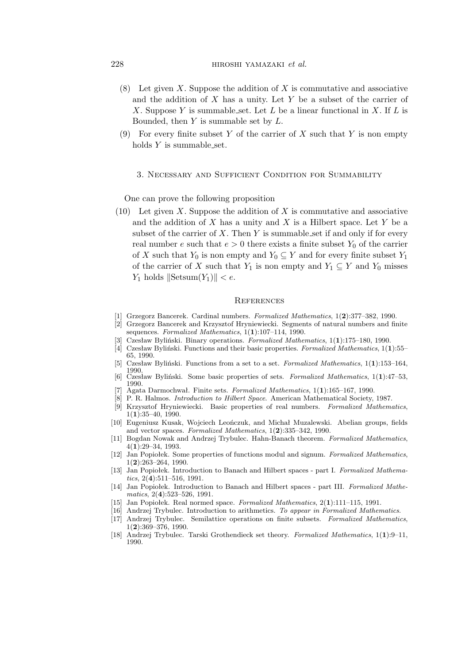### 228 hiroshi yamazaki *et al.*

- (8) Let given X. Suppose the addition of X is commutative and associative and the addition of  $X$  has a unity. Let  $Y$  be a subset of the carrier of X. Suppose Y is summable set. Let L be a linear functional in X. If L is Bounded, then  $Y$  is summable set by  $L$ .
- (9) For every finite subset Y of the carrier of X such that Y is non empty holds  $Y$  is summable set.

#### 3. Necessary and Sufficient Condition for Summability

One can prove the following proposition

(10) Let given X. Suppose the addition of X is commutative and associative and the addition of  $X$  has a unity and  $X$  is a Hilbert space. Let  $Y$  be a subset of the carrier of X. Then  $Y$  is summable set if and only if for every real number e such that  $e > 0$  there exists a finite subset  $Y_0$  of the carrier of X such that  $Y_0$  is non empty and  $Y_0 \subseteq Y$  and for every finite subset  $Y_1$ of the carrier of X such that  $Y_1$  is non empty and  $Y_1 \subseteq Y$  and  $Y_0$  misses  $Y_1$  holds  $\|\text{Setsum}(Y_1)\| < e$ .

#### **REFERENCES**

- [1] Grzegorz Bancerek. Cardinal numbers. *Formalized Mathematics*, 1(**2**):377–382, 1990.
- [2] Grzegorz Bancerek and Krzysztof Hryniewiecki. Segments of natural numbers and finite sequences. *Formalized Mathematics*, 1(**1**):107–114, 1990.
- [3] Czesław Byliński. Binary operations. *Formalized Mathematics*, 1(**1**):175–180, 1990.
- [4] Czesław Byliński. Functions and their basic properties. *Formalized Mathematics*, 1(**1**):55– 65, 1990.
- [5] Czesław Byliński. Functions from a set to a set. *Formalized Mathematics*, 1(**1**):153–164, 1990.
- [6] Czesław Byliński. Some basic properties of sets. *Formalized Mathematics*, 1(**1**):47–53, 1990.
- [7] Agata Darmochwał. Finite sets. *Formalized Mathematics*, 1(**1**):165–167, 1990.
- [8] P. R. Halmos. *Introduction to Hilbert Space*. American Mathematical Society, 1987. [9] Krzysztof Hryniewiecki. Basic properties of real numbers. *Formalized Mathematics*, 1(**1**):35–40, 1990.
- [10] Eugeniusz Kusak, Wojciech Leończuk, and Michał Muzalewski. Abelian groups, fields and vector spaces. *Formalized Mathematics*, 1(**2**):335–342, 1990.
- [11] Bogdan Nowak and Andrzej Trybulec. Hahn-Banach theorem. *Formalized Mathematics*, 4(**1**):29–34, 1993.
- [12] Jan Popiołek. Some properties of functions modul and signum. *Formalized Mathematics*, 1(**2**):263–264, 1990.
- [13] Jan Popiołek. Introduction to Banach and Hilbert spaces part I. *Formalized Mathematics*, 2(**4**):511–516, 1991.
- [14] Jan Popiołek. Introduction to Banach and Hilbert spaces part III. *Formalized Mathematics*, 2(**4**):523–526, 1991.
- [15] Jan Popiołek. Real normed space. *Formalized Mathematics*, 2(**1**):111–115, 1991.
- [16] Andrzej Trybulec. Introduction to arithmetics. *To appear in Formalized Mathematics*.
- [17] Andrzej Trybulec. Semilattice operations on finite subsets. *Formalized Mathematics*, 1(**2**):369–376, 1990.
- [18] Andrzej Trybulec. Tarski Grothendieck set theory. *Formalized Mathematics*, 1(**1**):9–11, 1990.